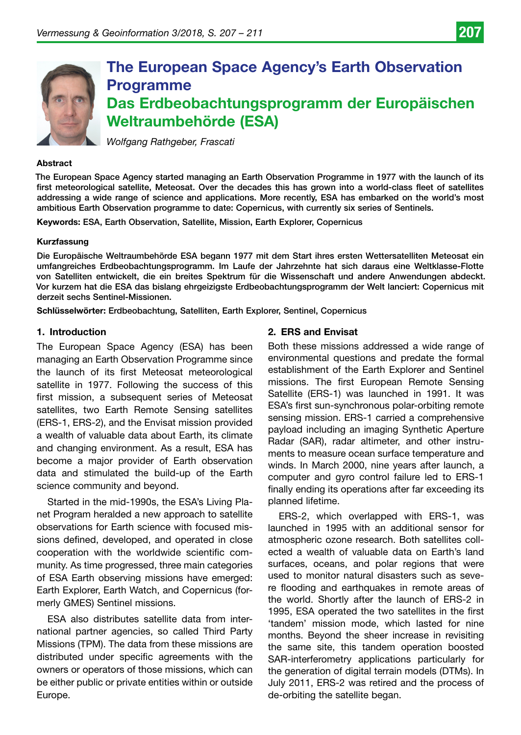

# The European Space Agency's Earth Observation Programme Das Erdbeobachtungsprogramm der Europäischen Weltraumbehörde (ESA)

*Wolfgang Rathgeber, Frascati*

# Abstract

The European Space Agency started managing an Earth Observation Programme in 1977 with the launch of its first meteorological satellite, Meteosat. Over the decades this has grown into a world-class fleet of satellites addressing a wide range of science and applications. More recently, ESA has embarked on the world's most ambitious Earth Observation programme to date: Copernicus, with currently six series of Sentinels.

Keywords: ESA, Earth Observation, Satellite, Mission, Earth Explorer, Copernicus

### Kurzfassung

Die Europäische Weltraumbehörde ESA begann 1977 mit dem Start ihres ersten Wettersatelliten Meteosat ein umfangreiches Erdbeobachtungsprogramm. Im Laufe der Jahrzehnte hat sich daraus eine Weltklasse-Flotte von Satelliten entwickelt, die ein breites Spektrum für die Wissenschaft und andere Anwendungen abdeckt. Vor kurzem hat die ESA das bislang ehrgeizigste Erdbeobachtungsprogramm der Welt lanciert: Copernicus mit derzeit sechs Sentinel-Missionen.

Schlüsselwörter: Erdbeobachtung, Satelliten, Earth Explorer, Sentinel, Copernicus

## 1. Introduction

The European Space Agency (ESA) has been managing an Earth Observation Programme since the launch of its first Meteosat meteorological satellite in 1977. Following the success of this first mission, a subsequent series of Meteosat satellites, two Earth Remote Sensing satellites (ERS-1, ERS-2), and the Envisat mission provided a wealth of valuable data about Earth, its climate and changing environment. As a result, ESA has become a major provider of Earth observation data and stimulated the build-up of the Earth science community and beyond.

Started in the mid-1990s, the ESA's Living Planet Program heralded a new approach to satellite observations for Earth science with focused missions defined, developed, and operated in close cooperation with the worldwide scientific community. As time progressed, three main categories of ESA Earth observing missions have emerged: Earth Explorer, Earth Watch, and Copernicus (formerly GMES) Sentinel missions.

ESA also distributes satellite data from international partner agencies, so called Third Party Missions (TPM). The data from these missions are distributed under specific agreements with the owners or operators of those missions, which can be either public or private entities within or outside Europe.

# 2. ERS and Envisat

Both these missions addressed a wide range of environmental questions and predate the formal establishment of the Earth Explorer and Sentinel missions. The first European Remote Sensing Satellite (ERS-1) was launched in 1991. It was ESA's first sun-synchronous polar-orbiting remote sensing mission. ERS-1 carried a comprehensive payload including an imaging Synthetic Aperture Radar (SAR), radar altimeter, and other instruments to measure ocean surface temperature and winds. In March 2000, nine years after launch, a computer and gyro control failure led to ERS-1 finally ending its operations after far exceeding its planned lifetime.

ERS-2, which overlapped with ERS-1, was launched in 1995 with an additional sensor for atmospheric ozone research. Both satellites collected a wealth of valuable data on Earth's land surfaces, oceans, and polar regions that were used to monitor natural disasters such as severe flooding and earthquakes in remote areas of the world. Shortly after the launch of ERS-2 in 1995, ESA operated the two satellites in the first 'tandem' mission mode, which lasted for nine months. Beyond the sheer increase in revisiting the same site, this tandem operation boosted SAR-interferometry applications particularly for the generation of digital terrain models (DTMs). In July 2011, ERS-2 was retired and the process of de-orbiting the satellite began.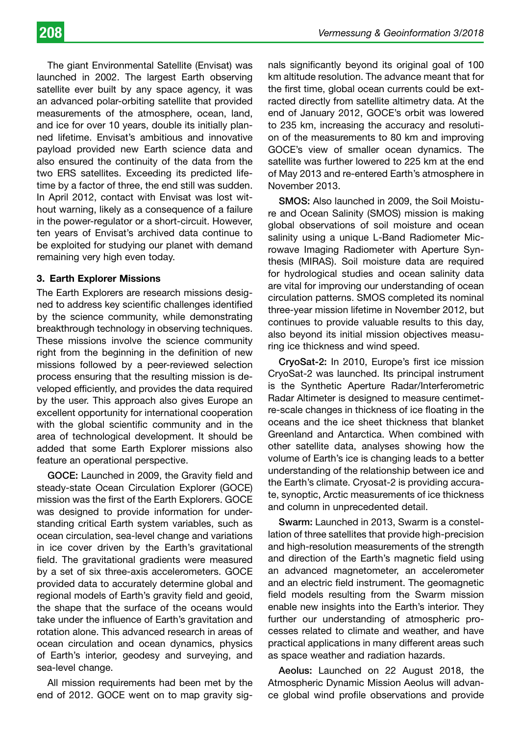The giant Environmental Satellite (Envisat) was launched in 2002. The largest Earth observing satellite ever built by any space agency, it was an advanced polar-orbiting satellite that provided measurements of the atmosphere, ocean, land, and ice for over 10 years, double its initially planned lifetime. Envisat's ambitious and innovative payload provided new Earth science data and also ensured the continuity of the data from the two ERS satellites. Exceeding its predicted lifetime by a factor of three, the end still was sudden. In April 2012, contact with Envisat was lost without warning, likely as a consequence of a failure in the power-regulator or a short-circuit. However, ten years of Envisat's archived data continue to be exploited for studying our planet with demand remaining very high even today.

# 3. Earth Explorer Missions

The Earth Explorers are research missions designed to address key scientific challenges identified by the science community, while demonstrating breakthrough technology in observing techniques. These missions involve the science community right from the beginning in the definition of new missions followed by a peer-reviewed selection process ensuring that the resulting mission is developed efficiently, and provides the data required by the user. This approach also gives Europe an excellent opportunity for international cooperation with the global scientific community and in the area of technological development. It should be added that some Earth Explorer missions also feature an operational perspective.

GOCE: Launched in 2009, the Gravity field and steady-state Ocean Circulation Explorer (GOCE) mission was the first of the Earth Explorers. GOCE was designed to provide information for understanding critical Earth system variables, such as ocean circulation, sea-level change and variations in ice cover driven by the Earth's gravitational field. The gravitational gradients were measured by a set of six three-axis accelerometers. GOCE provided data to accurately determine global and regional models of Earth's gravity field and geoid, the shape that the surface of the oceans would take under the influence of Earth's gravitation and rotation alone. This advanced research in areas of ocean circulation and ocean dynamics, physics of Earth's interior, geodesy and surveying, and sea-level change.

All mission requirements had been met by the end of 2012. GOCE went on to map gravity signals significantly beyond its original goal of 100 km altitude resolution. The advance meant that for the first time, global ocean currents could be extracted directly from satellite altimetry data. At the end of January 2012, GOCE's orbit was lowered to 235 km, increasing the accuracy and resolution of the measurements to 80 km and improving GOCE's view of smaller ocean dynamics. The satellite was further lowered to 225 km at the end of May 2013 and re-entered Earth's atmosphere in November 2013.

SMOS: Also launched in 2009, the Soil Moisture and Ocean Salinity (SMOS) mission is making global observations of soil moisture and ocean salinity using a unique L-Band Radiometer Microwave Imaging Radiometer with Aperture Synthesis (MIRAS). Soil moisture data are required for hydrological studies and ocean salinity data are vital for improving our understanding of ocean circulation patterns. SMOS completed its nominal three-year mission lifetime in November 2012, but continues to provide valuable results to this day, also beyond its initial mission objectives measuring ice thickness and wind speed.

CryoSat-2: In 2010, Europe's first ice mission CryoSat-2 was launched. Its principal instrument is the Synthetic Aperture Radar/Interferometric Radar Altimeter is designed to measure centimetre-scale changes in thickness of ice floating in the oceans and the ice sheet thickness that blanket Greenland and Antarctica. When combined with other satellite data, analyses showing how the volume of Earth's ice is changing leads to a better understanding of the relationship between ice and the Earth's climate. Cryosat-2 is providing accurate, synoptic, Arctic measurements of ice thickness and column in unprecedented detail.

Swarm: Launched in 2013, Swarm is a constellation of three satellites that provide high-precision and high-resolution measurements of the strength and direction of the Earth's magnetic field using an advanced magnetometer, an accelerometer and an electric field instrument. The geomagnetic field models resulting from the Swarm mission enable new insights into the Earth's interior. They further our understanding of atmospheric processes related to climate and weather, and have practical applications in many different areas such as space weather and radiation hazards.

Aeolus: Launched on 22 August 2018, the Atmospheric Dynamic Mission Aeolus will advance global wind profile observations and provide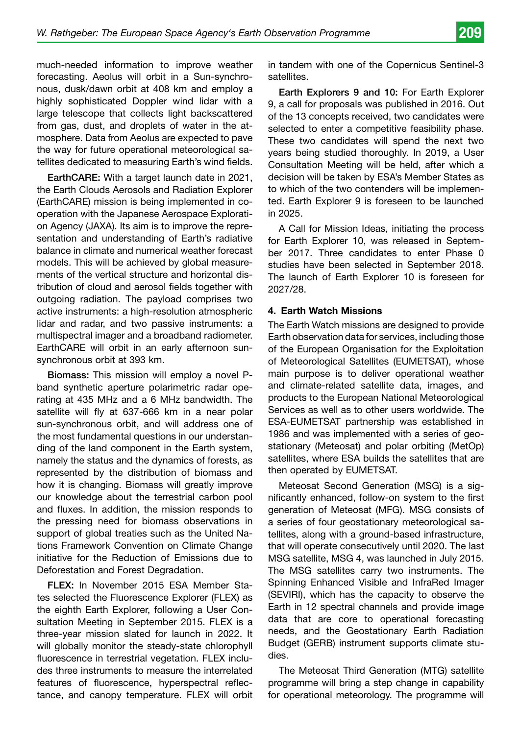much-needed information to improve weather forecasting. Aeolus will orbit in a Sun-synchronous, dusk/dawn orbit at 408 km and employ a highly sophisticated Doppler wind lidar with a large telescope that collects light backscattered from gas, dust, and droplets of water in the atmosphere. Data from Aeolus are expected to pave the way for future operational meteorological satellites dedicated to measuring Earth's wind fields.

EarthCARE: With a target launch date in 2021, the Earth Clouds Aerosols and Radiation Explorer (EarthCARE) mission is being implemented in cooperation with the Japanese Aerospace Exploration Agency (JAXA). Its aim is to improve the representation and understanding of Earth's radiative balance in climate and numerical weather forecast models. This will be achieved by global measurements of the vertical structure and horizontal distribution of cloud and aerosol fields together with outgoing radiation. The payload comprises two active instruments: a high-resolution atmospheric lidar and radar, and two passive instruments: a multispectral imager and a broadband radiometer. EarthCARE will orbit in an early afternoon sunsynchronous orbit at 393 km.

Biomass: This mission will employ a novel Pband synthetic aperture polarimetric radar operating at 435 MHz and a 6 MHz bandwidth. The satellite will fly at 637-666 km in a near polar sun-synchronous orbit, and will address one of the most fundamental questions in our understanding of the land component in the Earth system, namely the status and the dynamics of forests, as represented by the distribution of biomass and how it is changing. Biomass will greatly improve our knowledge about the terrestrial carbon pool and fluxes. In addition, the mission responds to the pressing need for biomass observations in support of global treaties such as the United Nations Framework Convention on Climate Change initiative for the Reduction of Emissions due to Deforestation and Forest Degradation.

FLEX: In November 2015 ESA Member States selected the Fluorescence Explorer (FLEX) as the eighth Earth Explorer, following a User Consultation Meeting in September 2015. FLEX is a three-year mission slated for launch in 2022. It will globally monitor the steady-state chlorophyll fluorescence in terrestrial vegetation. FLEX includes three instruments to measure the interrelated features of fluorescence, hyperspectral reflectance, and canopy temperature. FLEX will orbit in tandem with one of the Copernicus Sentinel-3 satellites.

Earth Explorers 9 and 10: For Earth Explorer 9, a call for proposals was published in 2016. Out of the 13 concepts received, two candidates were selected to enter a competitive feasibility phase. These two candidates will spend the next two years being studied thoroughly. In 2019, a User Consultation Meeting will be held, after which a decision will be taken by ESA's Member States as to which of the two contenders will be implemented. Earth Explorer 9 is foreseen to be launched in 2025.

A Call for Mission Ideas, initiating the process for Earth Explorer 10, was released in September 2017. Three candidates to enter Phase 0 studies have been selected in September 2018. The launch of Earth Explorer 10 is foreseen for 2027/28.

# 4. Earth Watch Missions

The Earth Watch missions are designed to provide Earth observation data for services, including those of the European Organisation for the Exploitation of Meteorological Satellites (EUMETSAT), whose main purpose is to deliver operational weather and climate-related satellite data, images, and products to the European National Meteorological Services as well as to other users worldwide. The ESA-EUMETSAT partnership was established in 1986 and was implemented with a series of geostationary (Meteosat) and polar orbiting (MetOp) satellites, where ESA builds the satellites that are then operated by EUMETSAT.

Meteosat Second Generation (MSG) is a significantly enhanced, follow-on system to the first generation of Meteosat (MFG). MSG consists of a series of four geostationary meteorological satellites, along with a ground-based infrastructure, that will operate consecutively until 2020. The last MSG satellite, MSG 4, was launched in July 2015. The MSG satellites carry two instruments. The Spinning Enhanced Visible and InfraRed Imager (SEVIRI), which has the capacity to observe the Earth in 12 spectral channels and provide image data that are core to operational forecasting needs, and the Geostationary Earth Radiation Budget (GERB) instrument supports climate studies.

The Meteosat Third Generation (MTG) satellite programme will bring a step change in capability for operational meteorology. The programme will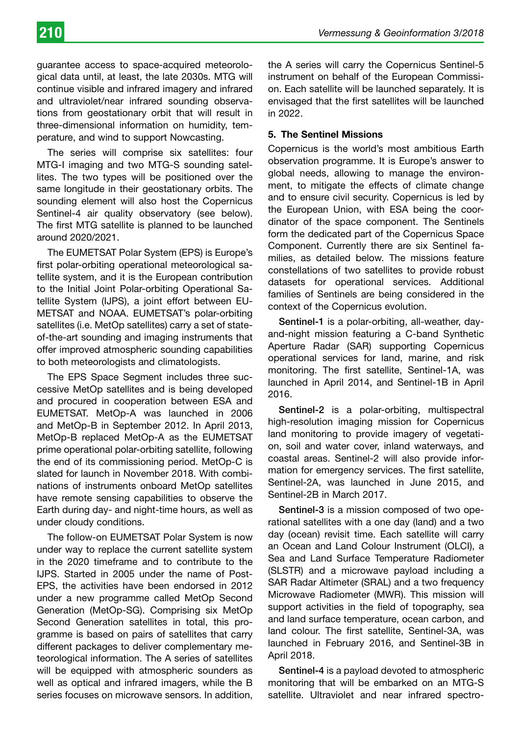The series will comprise six satellites: four MTG-I imaging and two MTG-S sounding satellites. The two types will be positioned over the same longitude in their geostationary orbits. The sounding element will also host the Copernicus Sentinel-4 air quality observatory (see below). The first MTG satellite is planned to be launched around 2020/2021.

The EUMETSAT Polar System (EPS) is Europe's first polar-orbiting operational meteorological satellite system, and it is the European contribution to the Initial Joint Polar-orbiting Operational Satellite System (IJPS), a joint effort between EU-METSAT and NOAA. EUMETSAT's polar-orbiting satellites (i.e. MetOp satellites) carry a set of stateof-the-art sounding and imaging instruments that offer improved atmospheric sounding capabilities to both meteorologists and climatologists.

The EPS Space Segment includes three successive MetOp satellites and is being developed and procured in cooperation between ESA and EUMETSAT. MetOp-A was launched in 2006 and MetOp-B in September 2012. In April 2013, MetOp-B replaced MetOp-A as the EUMETSAT prime operational polar-orbiting satellite, following the end of its commissioning period. MetOp-C is slated for launch in November 2018. With combinations of instruments onboard MetOp satellites have remote sensing capabilities to observe the Earth during day- and night-time hours, as well as under cloudy conditions.

The follow-on EUMETSAT Polar System is now under way to replace the current satellite system in the 2020 timeframe and to contribute to the IJPS. Started in 2005 under the name of Post-EPS, the activities have been endorsed in 2012 under a new programme called MetOp Second Generation (MetOp-SG). Comprising six MetOp Second Generation satellites in total, this programme is based on pairs of satellites that carry different packages to deliver complementary meteorological information. The A series of satellites will be equipped with atmospheric sounders as well as optical and infrared imagers, while the B series focuses on microwave sensors. In addition, the A series will carry the Copernicus Sentinel-5 instrument on behalf of the European Commission. Each satellite will be launched separately. It is envisaged that the first satellites will be launched in 2022.

# 5. The Sentinel Missions

Copernicus is the world's most ambitious Earth observation programme. It is Europe's answer to global needs, allowing to manage the environment, to mitigate the effects of climate change and to ensure civil security. Copernicus is led by the European Union, with ESA being the coordinator of the space component. The Sentinels form the dedicated part of the Copernicus Space Component. Currently there are six Sentinel families, as detailed below. The missions feature constellations of two satellites to provide robust datasets for operational services. Additional families of Sentinels are being considered in the context of the Copernicus evolution.

Sentinel-1 is a polar-orbiting, all-weather, dayand-night mission featuring a C-band Synthetic Aperture Radar (SAR) supporting Copernicus operational services for land, marine, and risk monitoring. The first satellite, Sentinel-1A, was launched in April 2014, and Sentinel-1B in April 2016.

Sentinel-2 is a polar-orbiting, multispectral high-resolution imaging mission for Copernicus land monitoring to provide imagery of vegetation, soil and water cover, inland waterways, and coastal areas. Sentinel-2 will also provide information for emergency services. The first satellite, Sentinel-2A, was launched in June 2015, and Sentinel-2B in March 2017.

Sentinel-3 is a mission composed of two operational satellites with a one day (land) and a two day (ocean) revisit time. Each satellite will carry an Ocean and Land Colour Instrument (OLCI), a Sea and Land Surface Temperature Radiometer (SLSTR) and a microwave payload including a SAR Radar Altimeter (SRAL) and a two frequency Microwave Radiometer (MWR). This mission will support activities in the field of topography, sea and land surface temperature, ocean carbon, and land colour. The first satellite, Sentinel-3A, was launched in February 2016, and Sentinel-3B in April 2018.

Sentinel-4 is a payload devoted to atmospheric monitoring that will be embarked on an MTG-S satellite. Ultraviolet and near infrared spectro